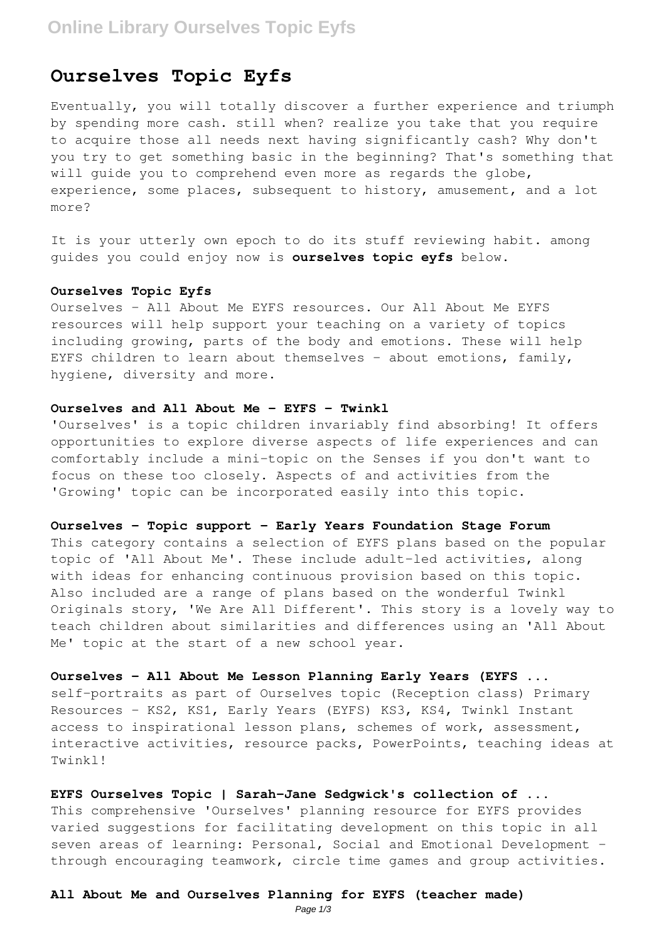## **Online Library Ourselves Topic Eyfs**

## **Ourselves Topic Eyfs**

Eventually, you will totally discover a further experience and triumph by spending more cash. still when? realize you take that you require to acquire those all needs next having significantly cash? Why don't you try to get something basic in the beginning? That's something that will quide you to comprehend even more as regards the globe, experience, some places, subsequent to history, amusement, and a lot more?

It is your utterly own epoch to do its stuff reviewing habit. among guides you could enjoy now is **ourselves topic eyfs** below.

## **Ourselves Topic Eyfs**

Ourselves - All About Me EYFS resources. Our All About Me EYFS resources will help support your teaching on a variety of topics including growing, parts of the body and emotions. These will help EYFS children to learn about themselves - about emotions, family, hygiene, diversity and more.

#### **Ourselves and All About Me - EYFS - Twinkl**

'Ourselves' is a topic children invariably find absorbing! It offers opportunities to explore diverse aspects of life experiences and can comfortably include a mini-topic on the Senses if you don't want to focus on these too closely. Aspects of and activities from the 'Growing' topic can be incorporated easily into this topic.

## **Ourselves - Topic support - Early Years Foundation Stage Forum**

This category contains a selection of EYFS plans based on the popular topic of 'All About Me'. These include adult-led activities, along with ideas for enhancing continuous provision based on this topic. Also included are a range of plans based on the wonderful Twinkl Originals story, 'We Are All Different'. This story is a lovely way to teach children about similarities and differences using an 'All About Me' topic at the start of a new school year.

**Ourselves - All About Me Lesson Planning Early Years (EYFS ...** self-portraits as part of Ourselves topic (Reception class) Primary Resources - KS2, KS1, Early Years (EYFS) KS3, KS4, Twinkl Instant access to inspirational lesson plans, schemes of work, assessment, interactive activities, resource packs, PowerPoints, teaching ideas at Twinkl!

**EYFS Ourselves Topic | Sarah-Jane Sedgwick's collection of ...** This comprehensive 'Ourselves' planning resource for EYFS provides varied suggestions for facilitating development on this topic in all seven areas of learning: Personal, Social and Emotional Development through encouraging teamwork, circle time games and group activities.

#### **All About Me and Ourselves Planning for EYFS (teacher made)**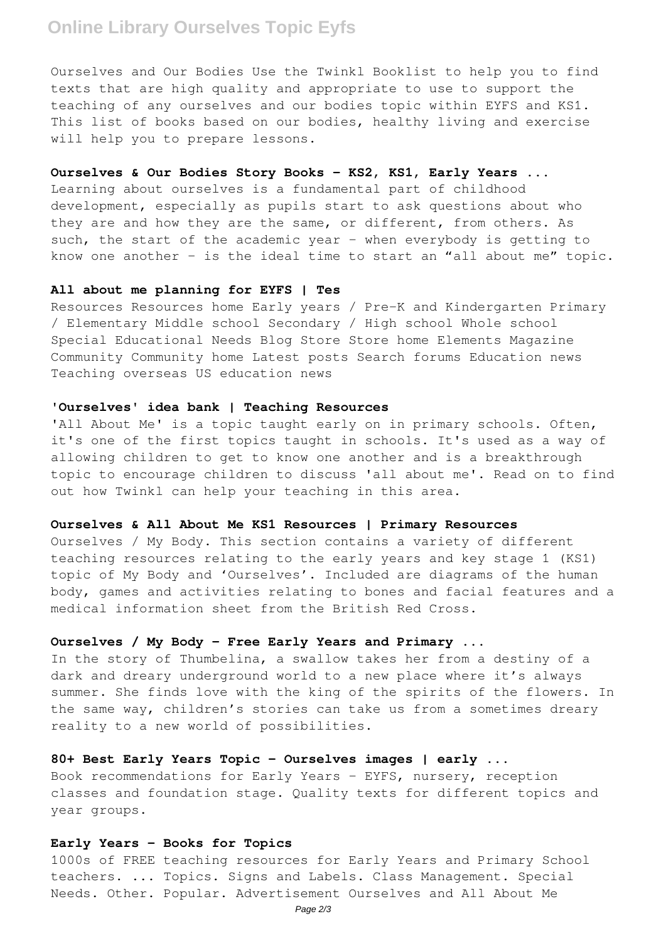## **Online Library Ourselves Topic Eyfs**

Ourselves and Our Bodies Use the Twinkl Booklist to help you to find texts that are high quality and appropriate to use to support the teaching of any ourselves and our bodies topic within EYFS and KS1. This list of books based on our bodies, healthy living and exercise will help you to prepare lessons.

#### **Ourselves & Our Bodies Story Books - KS2, KS1, Early Years ...**

Learning about ourselves is a fundamental part of childhood development, especially as pupils start to ask questions about who they are and how they are the same, or different, from others. As such, the start of the academic year - when everybody is getting to know one another – is the ideal time to start an "all about me" topic.

### **All about me planning for EYFS | Tes**

Resources Resources home Early years / Pre-K and Kindergarten Primary / Elementary Middle school Secondary / High school Whole school Special Educational Needs Blog Store Store home Elements Magazine Community Community home Latest posts Search forums Education news Teaching overseas US education news

#### **'Ourselves' idea bank | Teaching Resources**

'All About Me' is a topic taught early on in primary schools. Often, it's one of the first topics taught in schools. It's used as a way of allowing children to get to know one another and is a breakthrough topic to encourage children to discuss 'all about me'. Read on to find out how Twinkl can help your teaching in this area.

## **Ourselves & All About Me KS1 Resources | Primary Resources**

Ourselves / My Body. This section contains a variety of different teaching resources relating to the early years and key stage 1 (KS1) topic of My Body and 'Ourselves'. Included are diagrams of the human body, games and activities relating to bones and facial features and a medical information sheet from the British Red Cross.

## **Ourselves / My Body - Free Early Years and Primary ...**

In the story of Thumbelina, a swallow takes her from a destiny of a dark and dreary underground world to a new place where it's always summer. She finds love with the king of the spirits of the flowers. In the same way, children's stories can take us from a sometimes dreary reality to a new world of possibilities.

## **80+ Best Early Years Topic - Ourselves images | early ...**

Book recommendations for Early Years - EYFS, nursery, reception classes and foundation stage. Quality texts for different topics and year groups.

#### **Early Years - Books for Topics**

1000s of FREE teaching resources for Early Years and Primary School teachers. ... Topics. Signs and Labels. Class Management. Special Needs. Other. Popular. Advertisement Ourselves and All About Me